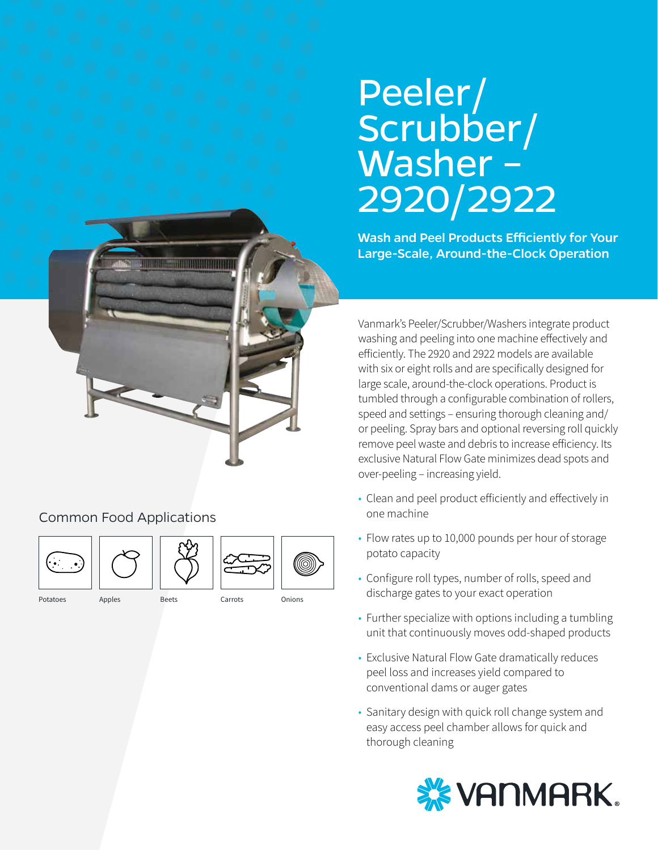# Peeler/ Scrubber/ Washer – 2920/2922

Wash and Peel Products Efficiently for Your Large-Scale, Around-the-Clock Operation

Vanmark's Peeler/Scrubber/Washers integrate product washing and peeling into one machine effectively and efficiently. The 2920 and 2922 models are available with six or eight rolls and are specifically designed for large scale, around-the-clock operations. Product is tumbled through a configurable combination of rollers, speed and settings – ensuring thorough cleaning and/ or peeling. Spray bars and optional reversing roll quickly remove peel waste and debris to increase efficiency. Its exclusive Natural Flow Gate minimizes dead spots and over-peeling – increasing yield.

- Clean and peel product efficiently and effectively in one machine
- Flow rates up to 10,000 pounds per hour of storage potato capacity
- Configure roll types, number of rolls, speed and discharge gates to your exact operation
- Further specialize with options including a tumbling unit that continuously moves odd-shaped products
- Exclusive Natural Flow Gate dramatically reduces peel loss and increases yield compared to conventional dams or auger gates
- Sanitary design with quick roll change system and easy access peel chamber allows for quick and thorough cleaning





## Common Food Applications





Potatoes Apples Beets Carrots Onions